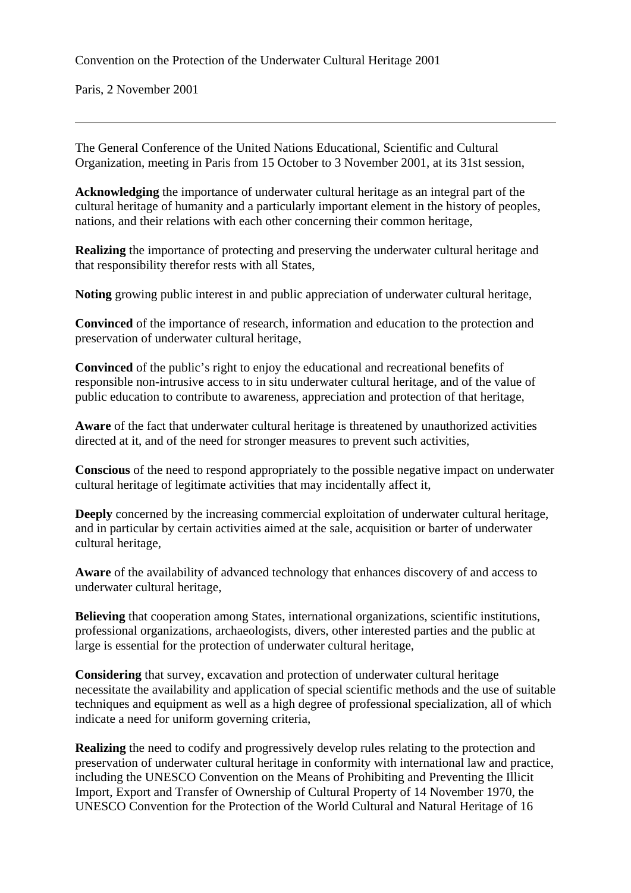Paris, 2 November 2001

The General Conference of the United Nations Educational, Scientific and Cultural Organization, meeting in Paris from 15 October to 3 November 2001, at its 31st session,

**Acknowledging** the importance of underwater cultural heritage as an integral part of the cultural heritage of humanity and a particularly important element in the history of peoples, nations, and their relations with each other concerning their common heritage,

**Realizing** the importance of protecting and preserving the underwater cultural heritage and that responsibility therefor rests with all States,

**Noting** growing public interest in and public appreciation of underwater cultural heritage,

**Convinced** of the importance of research, information and education to the protection and preservation of underwater cultural heritage,

**Convinced** of the public's right to enjoy the educational and recreational benefits of responsible non-intrusive access to in situ underwater cultural heritage, and of the value of public education to contribute to awareness, appreciation and protection of that heritage,

**Aware** of the fact that underwater cultural heritage is threatened by unauthorized activities directed at it, and of the need for stronger measures to prevent such activities,

**Conscious** of the need to respond appropriately to the possible negative impact on underwater cultural heritage of legitimate activities that may incidentally affect it,

**Deeply** concerned by the increasing commercial exploitation of underwater cultural heritage, and in particular by certain activities aimed at the sale, acquisition or barter of underwater cultural heritage,

**Aware** of the availability of advanced technology that enhances discovery of and access to underwater cultural heritage,

**Believing** that cooperation among States, international organizations, scientific institutions, professional organizations, archaeologists, divers, other interested parties and the public at large is essential for the protection of underwater cultural heritage,

**Considering** that survey, excavation and protection of underwater cultural heritage necessitate the availability and application of special scientific methods and the use of suitable techniques and equipment as well as a high degree of professional specialization, all of which indicate a need for uniform governing criteria,

**Realizing** the need to codify and progressively develop rules relating to the protection and preservation of underwater cultural heritage in conformity with international law and practice, including the UNESCO Convention on the Means of Prohibiting and Preventing the Illicit Import, Export and Transfer of Ownership of Cultural Property of 14 November 1970, the UNESCO Convention for the Protection of the World Cultural and Natural Heritage of 16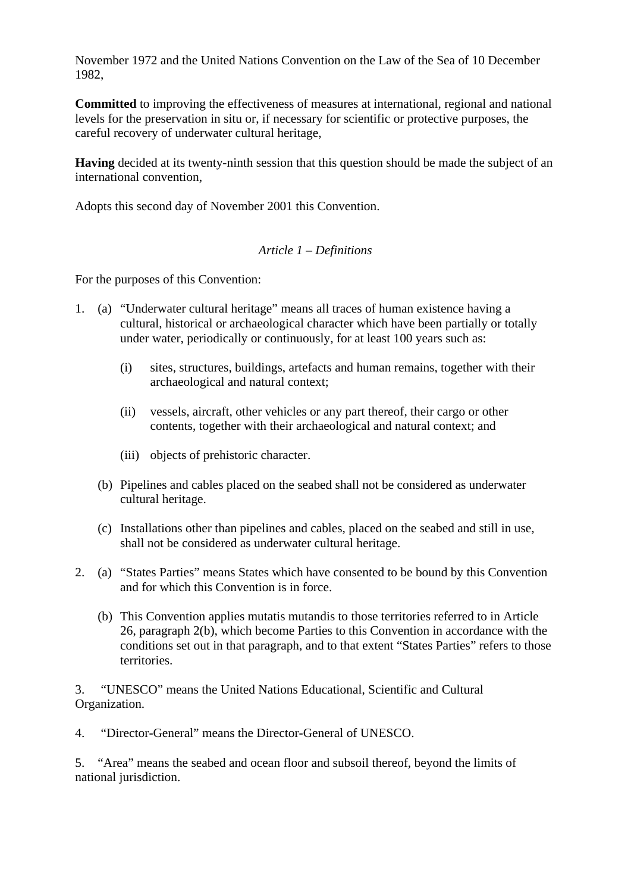November 1972 and the United Nations Convention on the Law of the Sea of 10 December 1982,

**Committed** to improving the effectiveness of measures at international, regional and national levels for the preservation in situ or, if necessary for scientific or protective purposes, the careful recovery of underwater cultural heritage,

**Having** decided at its twenty-ninth session that this question should be made the subject of an international convention,

Adopts this second day of November 2001 this Convention.

#### *Article 1 – Definitions*

For the purposes of this Convention:

- 1. (a) "Underwater cultural heritage" means all traces of human existence having a cultural, historical or archaeological character which have been partially or totally under water, periodically or continuously, for at least 100 years such as:
	- (i) sites, structures, buildings, artefacts and human remains, together with their archaeological and natural context;
	- (ii) vessels, aircraft, other vehicles or any part thereof, their cargo or other contents, together with their archaeological and natural context; and
	- (iii) objects of prehistoric character.
	- (b) Pipelines and cables placed on the seabed shall not be considered as underwater cultural heritage.
	- (c) Installations other than pipelines and cables, placed on the seabed and still in use, shall not be considered as underwater cultural heritage.
- 2. (a) "States Parties" means States which have consented to be bound by this Convention and for which this Convention is in force.
	- (b) This Convention applies mutatis mutandis to those territories referred to in Article 26, paragraph 2(b), which become Parties to this Convention in accordance with the conditions set out in that paragraph, and to that extent "States Parties" refers to those territories.

3. "UNESCO" means the United Nations Educational, Scientific and Cultural Organization.

4. "Director-General" means the Director-General of UNESCO.

5. "Area" means the seabed and ocean floor and subsoil thereof, beyond the limits of national jurisdiction.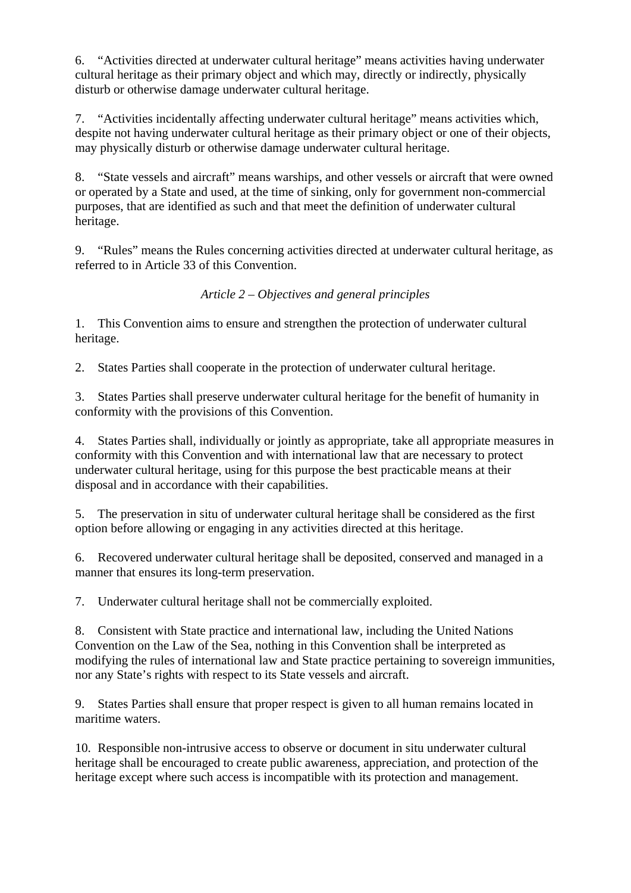6. "Activities directed at underwater cultural heritage" means activities having underwater cultural heritage as their primary object and which may, directly or indirectly, physically disturb or otherwise damage underwater cultural heritage.

7. "Activities incidentally affecting underwater cultural heritage" means activities which, despite not having underwater cultural heritage as their primary object or one of their objects, may physically disturb or otherwise damage underwater cultural heritage.

8. "State vessels and aircraft" means warships, and other vessels or aircraft that were owned or operated by a State and used, at the time of sinking, only for government non-commercial purposes, that are identified as such and that meet the definition of underwater cultural heritage.

9. "Rules" means the Rules concerning activities directed at underwater cultural heritage, as referred to in Article 33 of this Convention.

# *Article 2 – Objectives and general principles*

1. This Convention aims to ensure and strengthen the protection of underwater cultural heritage.

2. States Parties shall cooperate in the protection of underwater cultural heritage.

3. States Parties shall preserve underwater cultural heritage for the benefit of humanity in conformity with the provisions of this Convention.

4. States Parties shall, individually or jointly as appropriate, take all appropriate measures in conformity with this Convention and with international law that are necessary to protect underwater cultural heritage, using for this purpose the best practicable means at their disposal and in accordance with their capabilities.

5. The preservation in situ of underwater cultural heritage shall be considered as the first option before allowing or engaging in any activities directed at this heritage.

6. Recovered underwater cultural heritage shall be deposited, conserved and managed in a manner that ensures its long-term preservation.

7. Underwater cultural heritage shall not be commercially exploited.

8. Consistent with State practice and international law, including the United Nations Convention on the Law of the Sea, nothing in this Convention shall be interpreted as modifying the rules of international law and State practice pertaining to sovereign immunities, nor any State's rights with respect to its State vessels and aircraft.

9. States Parties shall ensure that proper respect is given to all human remains located in maritime waters.

10. Responsible non-intrusive access to observe or document in situ underwater cultural heritage shall be encouraged to create public awareness, appreciation, and protection of the heritage except where such access is incompatible with its protection and management.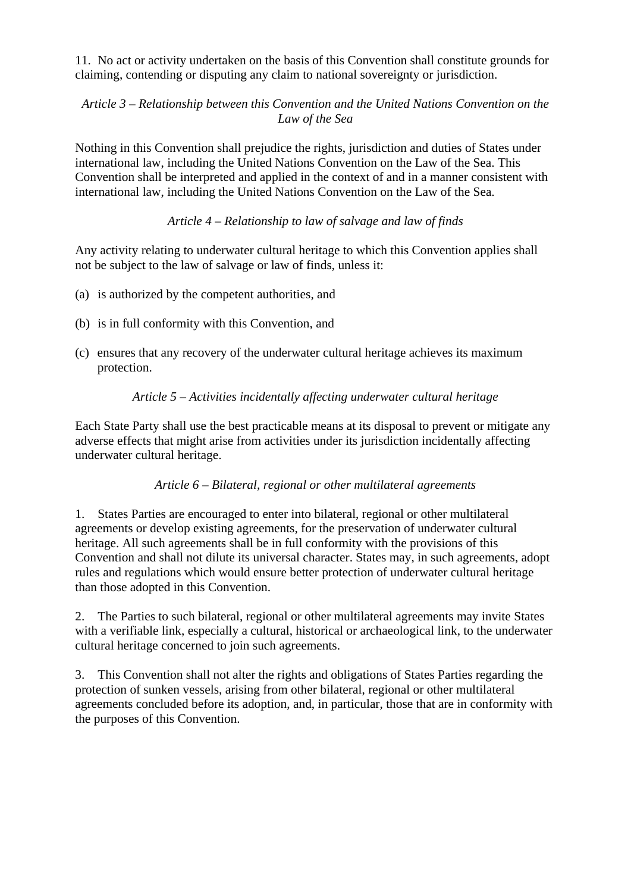11. No act or activity undertaken on the basis of this Convention shall constitute grounds for claiming, contending or disputing any claim to national sovereignty or jurisdiction.

*Article 3 – Relationship between this Convention and the United Nations Convention on the Law of the Sea* 

Nothing in this Convention shall prejudice the rights, jurisdiction and duties of States under international law, including the United Nations Convention on the Law of the Sea. This Convention shall be interpreted and applied in the context of and in a manner consistent with international law, including the United Nations Convention on the Law of the Sea.

*Article 4 – Relationship to law of salvage and law of finds* 

Any activity relating to underwater cultural heritage to which this Convention applies shall not be subject to the law of salvage or law of finds, unless it:

- (a) is authorized by the competent authorities, and
- (b) is in full conformity with this Convention, and
- (c) ensures that any recovery of the underwater cultural heritage achieves its maximum protection.

*Article 5 – Activities incidentally affecting underwater cultural heritage* 

Each State Party shall use the best practicable means at its disposal to prevent or mitigate any adverse effects that might arise from activities under its jurisdiction incidentally affecting underwater cultural heritage.

### *Article 6 – Bilateral, regional or other multilateral agreements*

1. States Parties are encouraged to enter into bilateral, regional or other multilateral agreements or develop existing agreements, for the preservation of underwater cultural heritage. All such agreements shall be in full conformity with the provisions of this Convention and shall not dilute its universal character. States may, in such agreements, adopt rules and regulations which would ensure better protection of underwater cultural heritage than those adopted in this Convention.

2. The Parties to such bilateral, regional or other multilateral agreements may invite States with a verifiable link, especially a cultural, historical or archaeological link, to the underwater cultural heritage concerned to join such agreements.

3. This Convention shall not alter the rights and obligations of States Parties regarding the protection of sunken vessels, arising from other bilateral, regional or other multilateral agreements concluded before its adoption, and, in particular, those that are in conformity with the purposes of this Convention.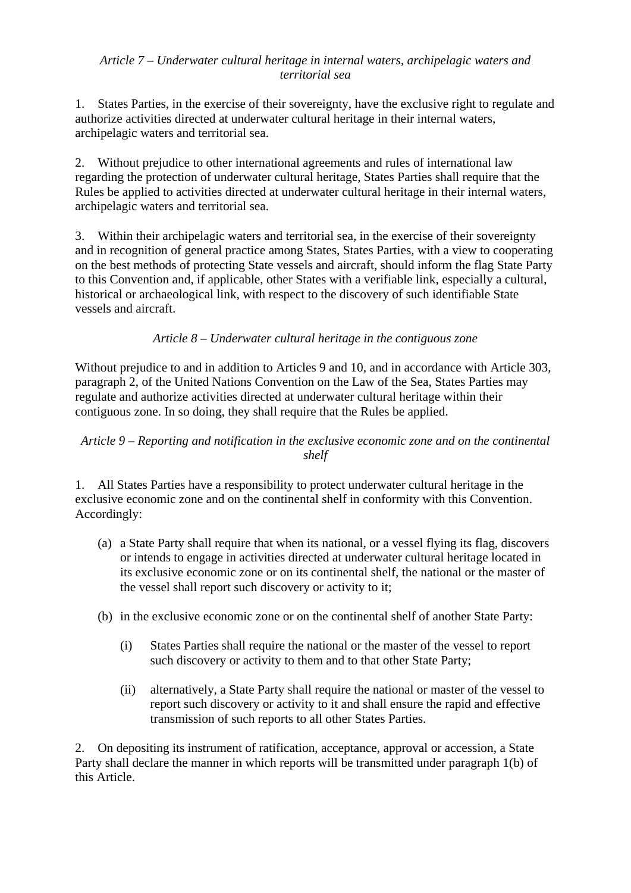### *Article 7 – Underwater cultural heritage in internal waters, archipelagic waters and territorial sea*

1. States Parties, in the exercise of their sovereignty, have the exclusive right to regulate and authorize activities directed at underwater cultural heritage in their internal waters, archipelagic waters and territorial sea.

2. Without prejudice to other international agreements and rules of international law regarding the protection of underwater cultural heritage, States Parties shall require that the Rules be applied to activities directed at underwater cultural heritage in their internal waters, archipelagic waters and territorial sea.

3. Within their archipelagic waters and territorial sea, in the exercise of their sovereignty and in recognition of general practice among States, States Parties, with a view to cooperating on the best methods of protecting State vessels and aircraft, should inform the flag State Party to this Convention and, if applicable, other States with a verifiable link, especially a cultural, historical or archaeological link, with respect to the discovery of such identifiable State vessels and aircraft.

# *Article 8 – Underwater cultural heritage in the contiguous zone*

Without prejudice to and in addition to Articles 9 and 10, and in accordance with Article 303, paragraph 2, of the United Nations Convention on the Law of the Sea, States Parties may regulate and authorize activities directed at underwater cultural heritage within their contiguous zone. In so doing, they shall require that the Rules be applied.

# *Article 9 – Reporting and notification in the exclusive economic zone and on the continental shelf*

1. All States Parties have a responsibility to protect underwater cultural heritage in the exclusive economic zone and on the continental shelf in conformity with this Convention. Accordingly:

- (a) a State Party shall require that when its national, or a vessel flying its flag, discovers or intends to engage in activities directed at underwater cultural heritage located in its exclusive economic zone or on its continental shelf, the national or the master of the vessel shall report such discovery or activity to it;
- (b) in the exclusive economic zone or on the continental shelf of another State Party:
	- (i) States Parties shall require the national or the master of the vessel to report such discovery or activity to them and to that other State Party;
	- (ii) alternatively, a State Party shall require the national or master of the vessel to report such discovery or activity to it and shall ensure the rapid and effective transmission of such reports to all other States Parties.

2. On depositing its instrument of ratification, acceptance, approval or accession, a State Party shall declare the manner in which reports will be transmitted under paragraph 1(b) of this Article.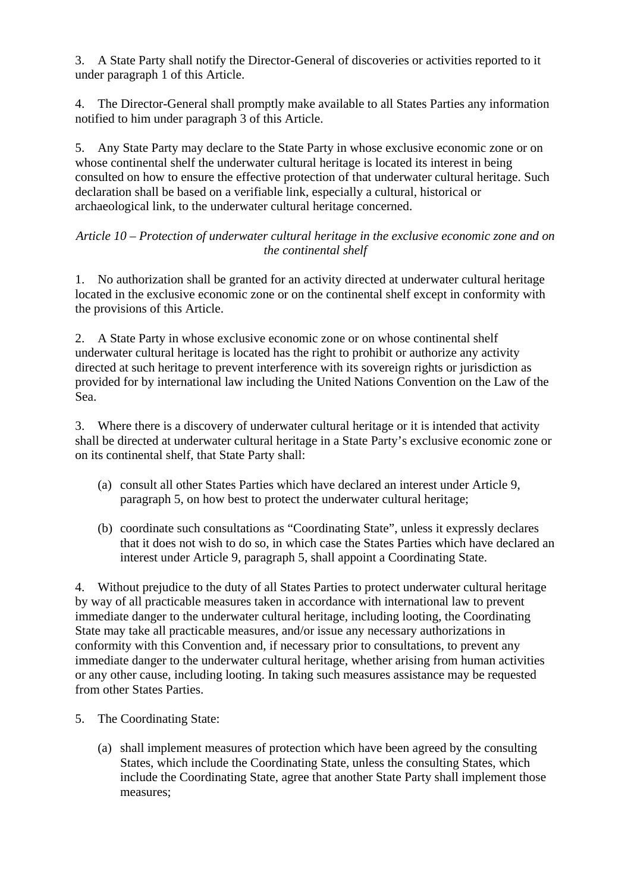3. A State Party shall notify the Director-General of discoveries or activities reported to it under paragraph 1 of this Article.

4. The Director-General shall promptly make available to all States Parties any information notified to him under paragraph 3 of this Article.

5. Any State Party may declare to the State Party in whose exclusive economic zone or on whose continental shelf the underwater cultural heritage is located its interest in being consulted on how to ensure the effective protection of that underwater cultural heritage. Such declaration shall be based on a verifiable link, especially a cultural, historical or archaeological link, to the underwater cultural heritage concerned.

## *Article 10 – Protection of underwater cultural heritage in the exclusive economic zone and on the continental shelf*

1. No authorization shall be granted for an activity directed at underwater cultural heritage located in the exclusive economic zone or on the continental shelf except in conformity with the provisions of this Article.

2. A State Party in whose exclusive economic zone or on whose continental shelf underwater cultural heritage is located has the right to prohibit or authorize any activity directed at such heritage to prevent interference with its sovereign rights or jurisdiction as provided for by international law including the United Nations Convention on the Law of the Sea.

3. Where there is a discovery of underwater cultural heritage or it is intended that activity shall be directed at underwater cultural heritage in a State Party's exclusive economic zone or on its continental shelf, that State Party shall:

- (a) consult all other States Parties which have declared an interest under Article 9, paragraph 5, on how best to protect the underwater cultural heritage;
- (b) coordinate such consultations as "Coordinating State", unless it expressly declares that it does not wish to do so, in which case the States Parties which have declared an interest under Article 9, paragraph 5, shall appoint a Coordinating State.

4. Without prejudice to the duty of all States Parties to protect underwater cultural heritage by way of all practicable measures taken in accordance with international law to prevent immediate danger to the underwater cultural heritage, including looting, the Coordinating State may take all practicable measures, and/or issue any necessary authorizations in conformity with this Convention and, if necessary prior to consultations, to prevent any immediate danger to the underwater cultural heritage, whether arising from human activities or any other cause, including looting. In taking such measures assistance may be requested from other States Parties.

- 5. The Coordinating State:
	- (a) shall implement measures of protection which have been agreed by the consulting States, which include the Coordinating State, unless the consulting States, which include the Coordinating State, agree that another State Party shall implement those measures;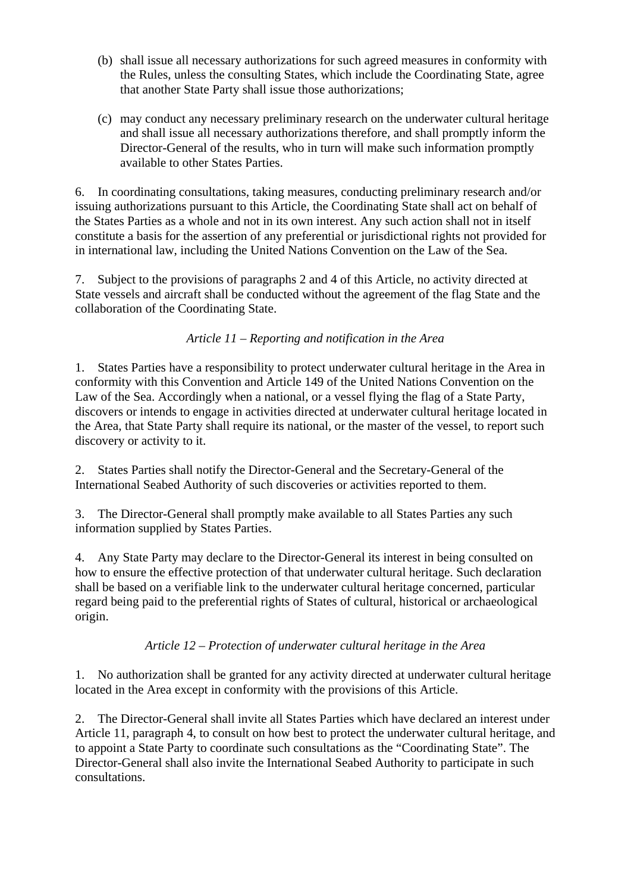- (b) shall issue all necessary authorizations for such agreed measures in conformity with the Rules, unless the consulting States, which include the Coordinating State, agree that another State Party shall issue those authorizations;
- (c) may conduct any necessary preliminary research on the underwater cultural heritage and shall issue all necessary authorizations therefore, and shall promptly inform the Director-General of the results, who in turn will make such information promptly available to other States Parties.

6. In coordinating consultations, taking measures, conducting preliminary research and/or issuing authorizations pursuant to this Article, the Coordinating State shall act on behalf of the States Parties as a whole and not in its own interest. Any such action shall not in itself constitute a basis for the assertion of any preferential or jurisdictional rights not provided for in international law, including the United Nations Convention on the Law of the Sea.

7. Subject to the provisions of paragraphs 2 and 4 of this Article, no activity directed at State vessels and aircraft shall be conducted without the agreement of the flag State and the collaboration of the Coordinating State.

# *Article 11 – Reporting and notification in the Area*

1. States Parties have a responsibility to protect underwater cultural heritage in the Area in conformity with this Convention and Article 149 of the United Nations Convention on the Law of the Sea. Accordingly when a national, or a vessel flying the flag of a State Party, discovers or intends to engage in activities directed at underwater cultural heritage located in the Area, that State Party shall require its national, or the master of the vessel, to report such discovery or activity to it.

2. States Parties shall notify the Director-General and the Secretary-General of the International Seabed Authority of such discoveries or activities reported to them.

3. The Director-General shall promptly make available to all States Parties any such information supplied by States Parties.

4. Any State Party may declare to the Director-General its interest in being consulted on how to ensure the effective protection of that underwater cultural heritage. Such declaration shall be based on a verifiable link to the underwater cultural heritage concerned, particular regard being paid to the preferential rights of States of cultural, historical or archaeological origin.

### *Article 12 – Protection of underwater cultural heritage in the Area*

1. No authorization shall be granted for any activity directed at underwater cultural heritage located in the Area except in conformity with the provisions of this Article.

2. The Director-General shall invite all States Parties which have declared an interest under Article 11, paragraph 4, to consult on how best to protect the underwater cultural heritage, and to appoint a State Party to coordinate such consultations as the "Coordinating State". The Director-General shall also invite the International Seabed Authority to participate in such consultations.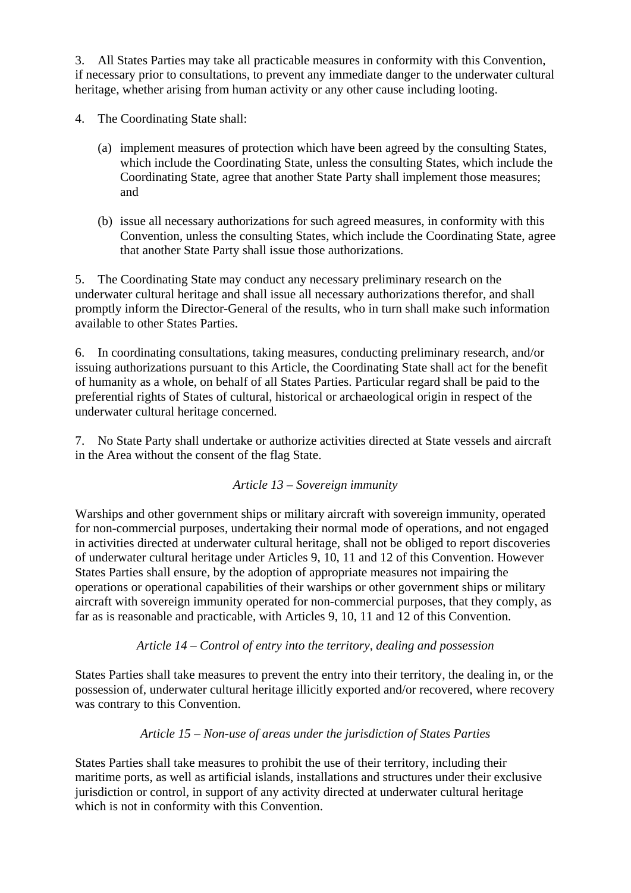3. All States Parties may take all practicable measures in conformity with this Convention, if necessary prior to consultations, to prevent any immediate danger to the underwater cultural heritage, whether arising from human activity or any other cause including looting.

- 4. The Coordinating State shall:
	- (a) implement measures of protection which have been agreed by the consulting States, which include the Coordinating State, unless the consulting States, which include the Coordinating State, agree that another State Party shall implement those measures; and
	- (b) issue all necessary authorizations for such agreed measures, in conformity with this Convention, unless the consulting States, which include the Coordinating State, agree that another State Party shall issue those authorizations.

5. The Coordinating State may conduct any necessary preliminary research on the underwater cultural heritage and shall issue all necessary authorizations therefor, and shall promptly inform the Director-General of the results, who in turn shall make such information available to other States Parties.

6. In coordinating consultations, taking measures, conducting preliminary research, and/or issuing authorizations pursuant to this Article, the Coordinating State shall act for the benefit of humanity as a whole, on behalf of all States Parties. Particular regard shall be paid to the preferential rights of States of cultural, historical or archaeological origin in respect of the underwater cultural heritage concerned.

7. No State Party shall undertake or authorize activities directed at State vessels and aircraft in the Area without the consent of the flag State.

### *Article 13 – Sovereign immunity*

Warships and other government ships or military aircraft with sovereign immunity, operated for non-commercial purposes, undertaking their normal mode of operations, and not engaged in activities directed at underwater cultural heritage, shall not be obliged to report discoveries of underwater cultural heritage under Articles 9, 10, 11 and 12 of this Convention. However States Parties shall ensure, by the adoption of appropriate measures not impairing the operations or operational capabilities of their warships or other government ships or military aircraft with sovereign immunity operated for non-commercial purposes, that they comply, as far as is reasonable and practicable, with Articles 9, 10, 11 and 12 of this Convention.

### *Article 14 – Control of entry into the territory, dealing and possession*

States Parties shall take measures to prevent the entry into their territory, the dealing in, or the possession of, underwater cultural heritage illicitly exported and/or recovered, where recovery was contrary to this Convention.

### *Article 15 – Non-use of areas under the jurisdiction of States Parties*

States Parties shall take measures to prohibit the use of their territory, including their maritime ports, as well as artificial islands, installations and structures under their exclusive jurisdiction or control, in support of any activity directed at underwater cultural heritage which is not in conformity with this Convention.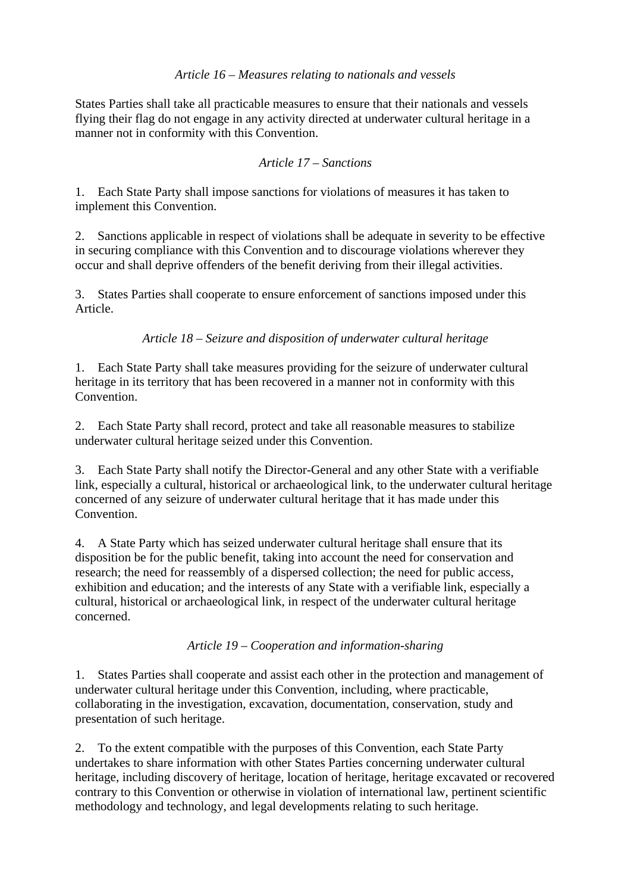States Parties shall take all practicable measures to ensure that their nationals and vessels flying their flag do not engage in any activity directed at underwater cultural heritage in a manner not in conformity with this Convention.

### *Article 17 – Sanctions*

1. Each State Party shall impose sanctions for violations of measures it has taken to implement this Convention.

2. Sanctions applicable in respect of violations shall be adequate in severity to be effective in securing compliance with this Convention and to discourage violations wherever they occur and shall deprive offenders of the benefit deriving from their illegal activities.

3. States Parties shall cooperate to ensure enforcement of sanctions imposed under this Article.

#### *Article 18 – Seizure and disposition of underwater cultural heritage*

1. Each State Party shall take measures providing for the seizure of underwater cultural heritage in its territory that has been recovered in a manner not in conformity with this Convention.

2. Each State Party shall record, protect and take all reasonable measures to stabilize underwater cultural heritage seized under this Convention.

3. Each State Party shall notify the Director-General and any other State with a verifiable link, especially a cultural, historical or archaeological link, to the underwater cultural heritage concerned of any seizure of underwater cultural heritage that it has made under this **Convention** 

4. A State Party which has seized underwater cultural heritage shall ensure that its disposition be for the public benefit, taking into account the need for conservation and research; the need for reassembly of a dispersed collection; the need for public access, exhibition and education; and the interests of any State with a verifiable link, especially a cultural, historical or archaeological link, in respect of the underwater cultural heritage concerned.

### *Article 19 – Cooperation and information-sharing*

1. States Parties shall cooperate and assist each other in the protection and management of underwater cultural heritage under this Convention, including, where practicable, collaborating in the investigation, excavation, documentation, conservation, study and presentation of such heritage.

2. To the extent compatible with the purposes of this Convention, each State Party undertakes to share information with other States Parties concerning underwater cultural heritage, including discovery of heritage, location of heritage, heritage excavated or recovered contrary to this Convention or otherwise in violation of international law, pertinent scientific methodology and technology, and legal developments relating to such heritage.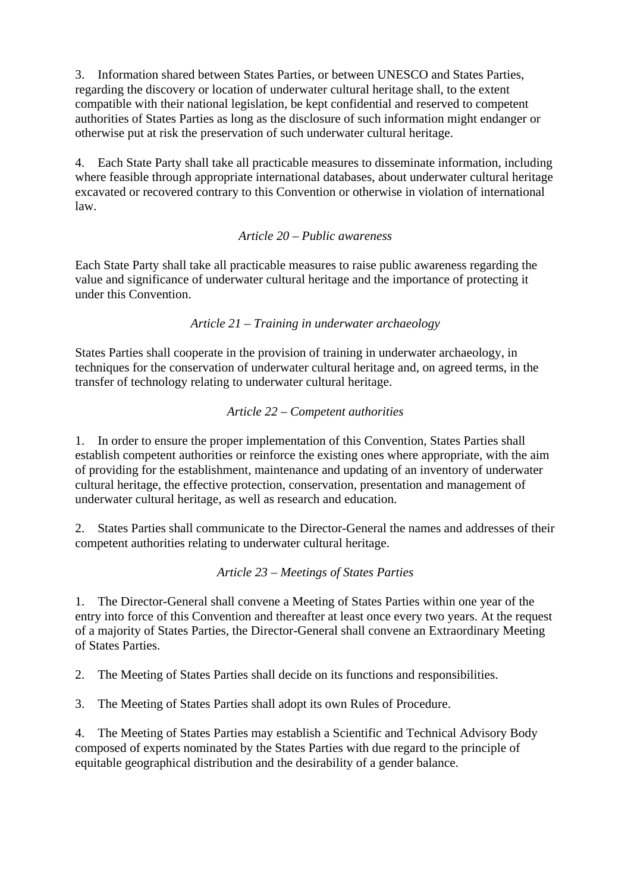3. Information shared between States Parties, or between UNESCO and States Parties, regarding the discovery or location of underwater cultural heritage shall, to the extent compatible with their national legislation, be kept confidential and reserved to competent authorities of States Parties as long as the disclosure of such information might endanger or otherwise put at risk the preservation of such underwater cultural heritage.

4. Each State Party shall take all practicable measures to disseminate information, including where feasible through appropriate international databases, about underwater cultural heritage excavated or recovered contrary to this Convention or otherwise in violation of international law.

### *Article 20 – Public awareness*

Each State Party shall take all practicable measures to raise public awareness regarding the value and significance of underwater cultural heritage and the importance of protecting it under this Convention.

### *Article 21 – Training in underwater archaeology*

States Parties shall cooperate in the provision of training in underwater archaeology, in techniques for the conservation of underwater cultural heritage and, on agreed terms, in the transfer of technology relating to underwater cultural heritage.

#### *Article 22 – Competent authorities*

1. In order to ensure the proper implementation of this Convention, States Parties shall establish competent authorities or reinforce the existing ones where appropriate, with the aim of providing for the establishment, maintenance and updating of an inventory of underwater cultural heritage, the effective protection, conservation, presentation and management of underwater cultural heritage, as well as research and education.

2. States Parties shall communicate to the Director-General the names and addresses of their competent authorities relating to underwater cultural heritage.

#### *Article 23 – Meetings of States Parties*

1. The Director-General shall convene a Meeting of States Parties within one year of the entry into force of this Convention and thereafter at least once every two years. At the request of a majority of States Parties, the Director-General shall convene an Extraordinary Meeting of States Parties.

2. The Meeting of States Parties shall decide on its functions and responsibilities.

3. The Meeting of States Parties shall adopt its own Rules of Procedure.

4. The Meeting of States Parties may establish a Scientific and Technical Advisory Body composed of experts nominated by the States Parties with due regard to the principle of equitable geographical distribution and the desirability of a gender balance.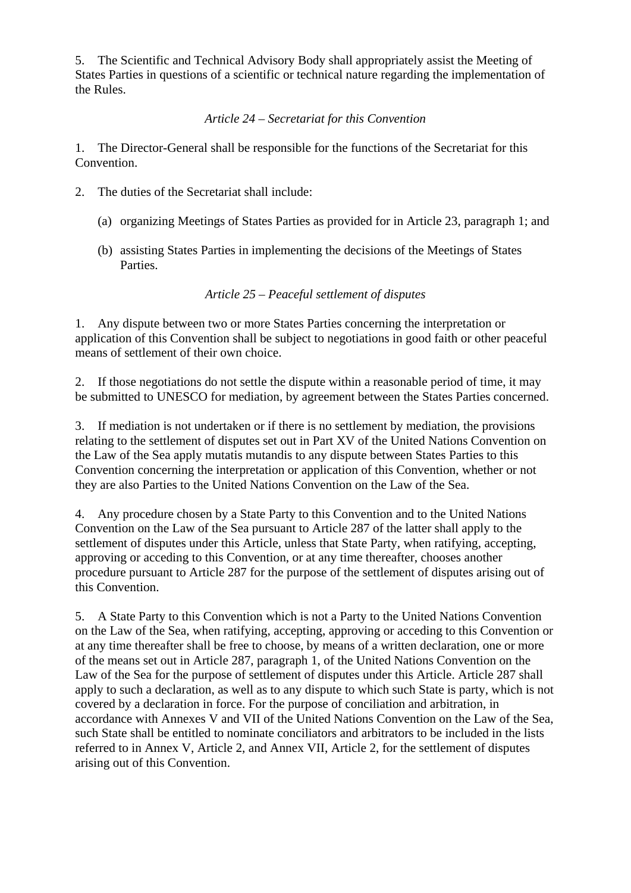5. The Scientific and Technical Advisory Body shall appropriately assist the Meeting of States Parties in questions of a scientific or technical nature regarding the implementation of the Rules.

### *Article 24 – Secretariat for this Convention*

1. The Director-General shall be responsible for the functions of the Secretariat for this Convention.

- 2. The duties of the Secretariat shall include:
	- (a) organizing Meetings of States Parties as provided for in Article 23, paragraph 1; and
	- (b) assisting States Parties in implementing the decisions of the Meetings of States Parties.

*Article 25 – Peaceful settlement of disputes* 

1. Any dispute between two or more States Parties concerning the interpretation or application of this Convention shall be subject to negotiations in good faith or other peaceful means of settlement of their own choice.

2. If those negotiations do not settle the dispute within a reasonable period of time, it may be submitted to UNESCO for mediation, by agreement between the States Parties concerned.

3. If mediation is not undertaken or if there is no settlement by mediation, the provisions relating to the settlement of disputes set out in Part XV of the United Nations Convention on the Law of the Sea apply mutatis mutandis to any dispute between States Parties to this Convention concerning the interpretation or application of this Convention, whether or not they are also Parties to the United Nations Convention on the Law of the Sea.

4. Any procedure chosen by a State Party to this Convention and to the United Nations Convention on the Law of the Sea pursuant to Article 287 of the latter shall apply to the settlement of disputes under this Article, unless that State Party, when ratifying, accepting, approving or acceding to this Convention, or at any time thereafter, chooses another procedure pursuant to Article 287 for the purpose of the settlement of disputes arising out of this Convention.

5. A State Party to this Convention which is not a Party to the United Nations Convention on the Law of the Sea, when ratifying, accepting, approving or acceding to this Convention or at any time thereafter shall be free to choose, by means of a written declaration, one or more of the means set out in Article 287, paragraph 1, of the United Nations Convention on the Law of the Sea for the purpose of settlement of disputes under this Article. Article 287 shall apply to such a declaration, as well as to any dispute to which such State is party, which is not covered by a declaration in force. For the purpose of conciliation and arbitration, in accordance with Annexes V and VII of the United Nations Convention on the Law of the Sea, such State shall be entitled to nominate conciliators and arbitrators to be included in the lists referred to in Annex V, Article 2, and Annex VII, Article 2, for the settlement of disputes arising out of this Convention.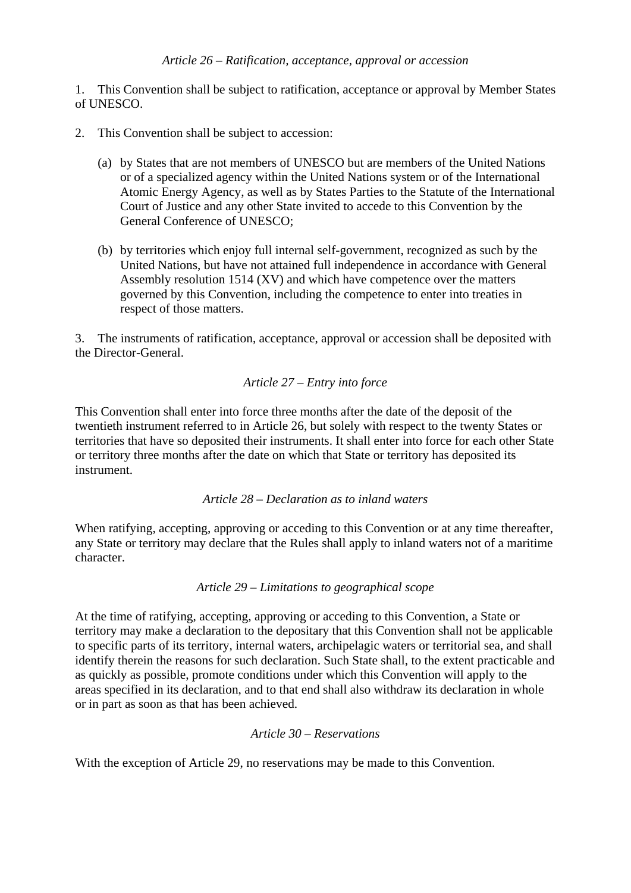1. This Convention shall be subject to ratification, acceptance or approval by Member States of UNESCO.

- 2. This Convention shall be subject to accession:
	- (a) by States that are not members of UNESCO but are members of the United Nations or of a specialized agency within the United Nations system or of the International Atomic Energy Agency, as well as by States Parties to the Statute of the International Court of Justice and any other State invited to accede to this Convention by the General Conference of UNESCO;
	- (b) by territories which enjoy full internal self-government, recognized as such by the United Nations, but have not attained full independence in accordance with General Assembly resolution 1514 (XV) and which have competence over the matters governed by this Convention, including the competence to enter into treaties in respect of those matters.

3. The instruments of ratification, acceptance, approval or accession shall be deposited with the Director-General.

#### *Article 27 – Entry into force*

This Convention shall enter into force three months after the date of the deposit of the twentieth instrument referred to in Article 26, but solely with respect to the twenty States or territories that have so deposited their instruments. It shall enter into force for each other State or territory three months after the date on which that State or territory has deposited its instrument.

*Article 28 – Declaration as to inland waters* 

When ratifying, accepting, approving or acceding to this Convention or at any time thereafter, any State or territory may declare that the Rules shall apply to inland waters not of a maritime character.

*Article 29 – Limitations to geographical scope* 

At the time of ratifying, accepting, approving or acceding to this Convention, a State or territory may make a declaration to the depositary that this Convention shall not be applicable to specific parts of its territory, internal waters, archipelagic waters or territorial sea, and shall identify therein the reasons for such declaration. Such State shall, to the extent practicable and as quickly as possible, promote conditions under which this Convention will apply to the areas specified in its declaration, and to that end shall also withdraw its declaration in whole or in part as soon as that has been achieved.

### *Article 30 – Reservations*

With the exception of Article 29, no reservations may be made to this Convention.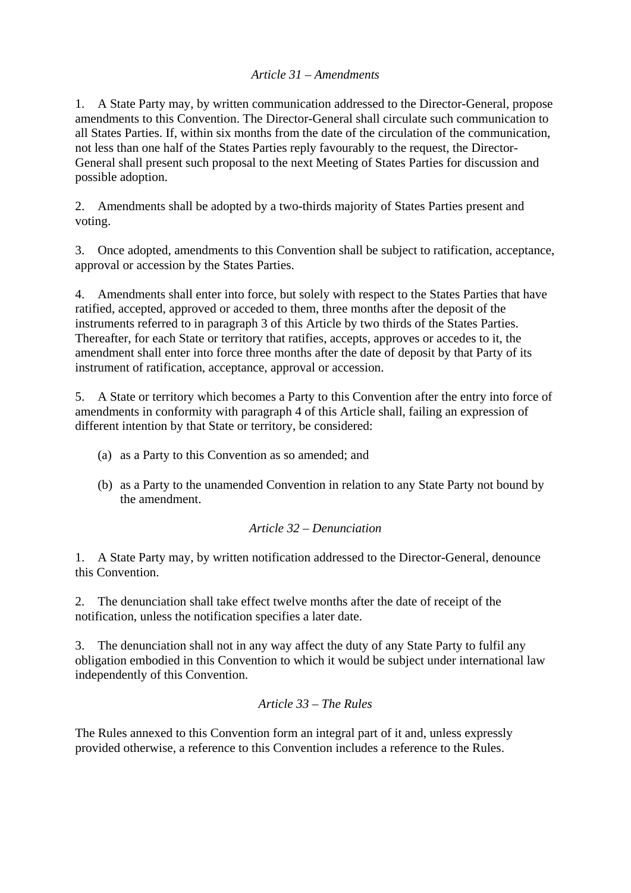#### *Article 31 – Amendments*

1. A State Party may, by written communication addressed to the Director-General, propose amendments to this Convention. The Director-General shall circulate such communication to all States Parties. If, within six months from the date of the circulation of the communication, not less than one half of the States Parties reply favourably to the request, the Director-General shall present such proposal to the next Meeting of States Parties for discussion and possible adoption.

2. Amendments shall be adopted by a two-thirds majority of States Parties present and voting.

3. Once adopted, amendments to this Convention shall be subject to ratification, acceptance, approval or accession by the States Parties.

4. Amendments shall enter into force, but solely with respect to the States Parties that have ratified, accepted, approved or acceded to them, three months after the deposit of the instruments referred to in paragraph 3 of this Article by two thirds of the States Parties. Thereafter, for each State or territory that ratifies, accepts, approves or accedes to it, the amendment shall enter into force three months after the date of deposit by that Party of its instrument of ratification, acceptance, approval or accession.

5. A State or territory which becomes a Party to this Convention after the entry into force of amendments in conformity with paragraph 4 of this Article shall, failing an expression of different intention by that State or territory, be considered:

- (a) as a Party to this Convention as so amended; and
- (b) as a Party to the unamended Convention in relation to any State Party not bound by the amendment.

#### *Article 32 – Denunciation*

1. A State Party may, by written notification addressed to the Director-General, denounce this Convention.

2. The denunciation shall take effect twelve months after the date of receipt of the notification, unless the notification specifies a later date.

3. The denunciation shall not in any way affect the duty of any State Party to fulfil any obligation embodied in this Convention to which it would be subject under international law independently of this Convention.

#### *Article 33 – The Rules*

The Rules annexed to this Convention form an integral part of it and, unless expressly provided otherwise, a reference to this Convention includes a reference to the Rules.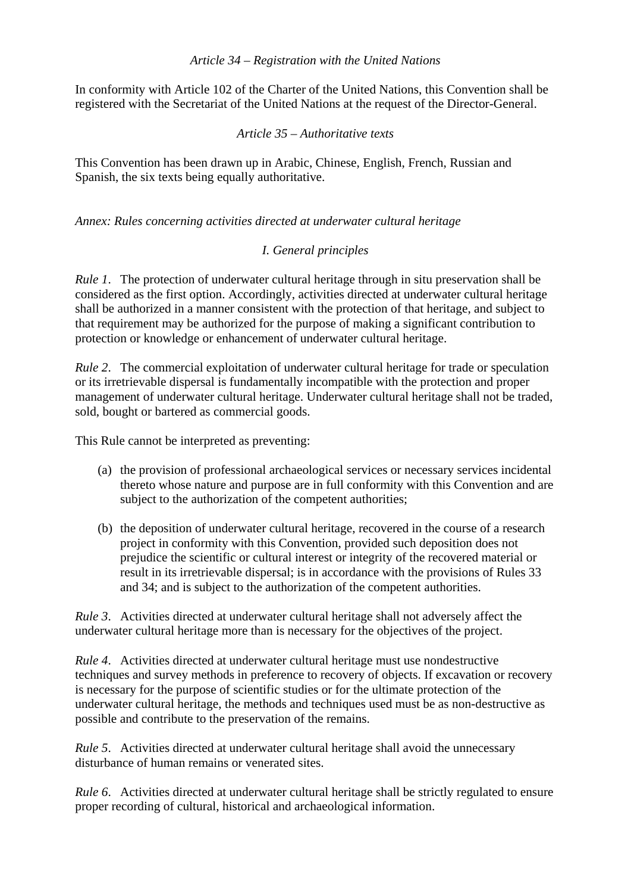In conformity with Article 102 of the Charter of the United Nations, this Convention shall be registered with the Secretariat of the United Nations at the request of the Director-General.

#### *Article 35 – Authoritative texts*

This Convention has been drawn up in Arabic, Chinese, English, French, Russian and Spanish, the six texts being equally authoritative.

*Annex: Rules concerning activities directed at underwater cultural heritage* 

# *I. General principles*

*Rule 1*. The protection of underwater cultural heritage through in situ preservation shall be considered as the first option. Accordingly, activities directed at underwater cultural heritage shall be authorized in a manner consistent with the protection of that heritage, and subject to that requirement may be authorized for the purpose of making a significant contribution to protection or knowledge or enhancement of underwater cultural heritage.

*Rule 2*. The commercial exploitation of underwater cultural heritage for trade or speculation or its irretrievable dispersal is fundamentally incompatible with the protection and proper management of underwater cultural heritage. Underwater cultural heritage shall not be traded, sold, bought or bartered as commercial goods.

This Rule cannot be interpreted as preventing:

- (a) the provision of professional archaeological services or necessary services incidental thereto whose nature and purpose are in full conformity with this Convention and are subject to the authorization of the competent authorities;
- (b) the deposition of underwater cultural heritage, recovered in the course of a research project in conformity with this Convention, provided such deposition does not prejudice the scientific or cultural interest or integrity of the recovered material or result in its irretrievable dispersal; is in accordance with the provisions of Rules 33 and 34; and is subject to the authorization of the competent authorities.

*Rule 3*. Activities directed at underwater cultural heritage shall not adversely affect the underwater cultural heritage more than is necessary for the objectives of the project.

*Rule 4*. Activities directed at underwater cultural heritage must use nondestructive techniques and survey methods in preference to recovery of objects. If excavation or recovery is necessary for the purpose of scientific studies or for the ultimate protection of the underwater cultural heritage, the methods and techniques used must be as non-destructive as possible and contribute to the preservation of the remains.

*Rule 5.* Activities directed at underwater cultural heritage shall avoid the unnecessary disturbance of human remains or venerated sites.

*Rule 6.* Activities directed at underwater cultural heritage shall be strictly regulated to ensure proper recording of cultural, historical and archaeological information.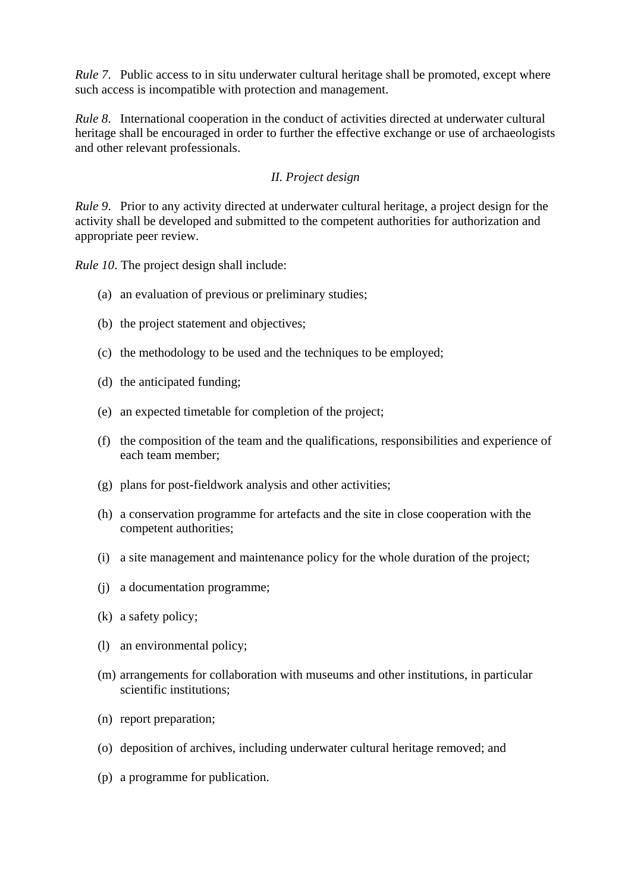*Rule 7.* Public access to in situ underwater cultural heritage shall be promoted, except where such access is incompatible with protection and management.

*Rule 8*. International cooperation in the conduct of activities directed at underwater cultural heritage shall be encouraged in order to further the effective exchange or use of archaeologists and other relevant professionals.

#### *II. Project design*

*Rule 9*. Prior to any activity directed at underwater cultural heritage, a project design for the activity shall be developed and submitted to the competent authorities for authorization and appropriate peer review.

*Rule 10*. The project design shall include:

- (a) an evaluation of previous or preliminary studies;
- (b) the project statement and objectives;
- (c) the methodology to be used and the techniques to be employed;
- (d) the anticipated funding;
- (e) an expected timetable for completion of the project;
- (f) the composition of the team and the qualifications, responsibilities and experience of each team member;
- (g) plans for post-fieldwork analysis and other activities;
- (h) a conservation programme for artefacts and the site in close cooperation with the competent authorities;
- (i) a site management and maintenance policy for the whole duration of the project;
- (j) a documentation programme;
- (k) a safety policy;
- (l) an environmental policy;
- (m) arrangements for collaboration with museums and other institutions, in particular scientific institutions;
- (n) report preparation;
- (o) deposition of archives, including underwater cultural heritage removed; and
- (p) a programme for publication.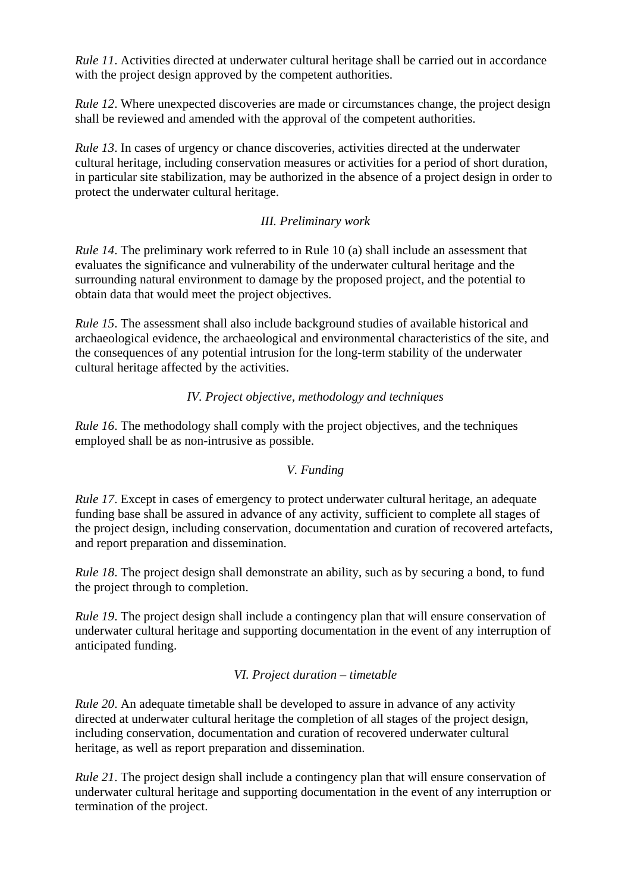*Rule 11*. Activities directed at underwater cultural heritage shall be carried out in accordance with the project design approved by the competent authorities.

*Rule 12*. Where unexpected discoveries are made or circumstances change, the project design shall be reviewed and amended with the approval of the competent authorities.

*Rule 13*. In cases of urgency or chance discoveries, activities directed at the underwater cultural heritage, including conservation measures or activities for a period of short duration, in particular site stabilization, may be authorized in the absence of a project design in order to protect the underwater cultural heritage.

### *III. Preliminary work*

*Rule 14*. The preliminary work referred to in Rule 10 (a) shall include an assessment that evaluates the significance and vulnerability of the underwater cultural heritage and the surrounding natural environment to damage by the proposed project, and the potential to obtain data that would meet the project objectives.

*Rule 15*. The assessment shall also include background studies of available historical and archaeological evidence, the archaeological and environmental characteristics of the site, and the consequences of any potential intrusion for the long-term stability of the underwater cultural heritage affected by the activities.

# *IV. Project objective, methodology and techniques*

*Rule 16.* The methodology shall comply with the project objectives, and the techniques employed shall be as non-intrusive as possible.

### *V. Funding*

*Rule 17*. Except in cases of emergency to protect underwater cultural heritage, an adequate funding base shall be assured in advance of any activity, sufficient to complete all stages of the project design, including conservation, documentation and curation of recovered artefacts, and report preparation and dissemination.

*Rule 18*. The project design shall demonstrate an ability, such as by securing a bond, to fund the project through to completion.

*Rule 19*. The project design shall include a contingency plan that will ensure conservation of underwater cultural heritage and supporting documentation in the event of any interruption of anticipated funding.

### *VI. Project duration – timetable*

*Rule 20*. An adequate timetable shall be developed to assure in advance of any activity directed at underwater cultural heritage the completion of all stages of the project design, including conservation, documentation and curation of recovered underwater cultural heritage, as well as report preparation and dissemination.

*Rule 21*. The project design shall include a contingency plan that will ensure conservation of underwater cultural heritage and supporting documentation in the event of any interruption or termination of the project.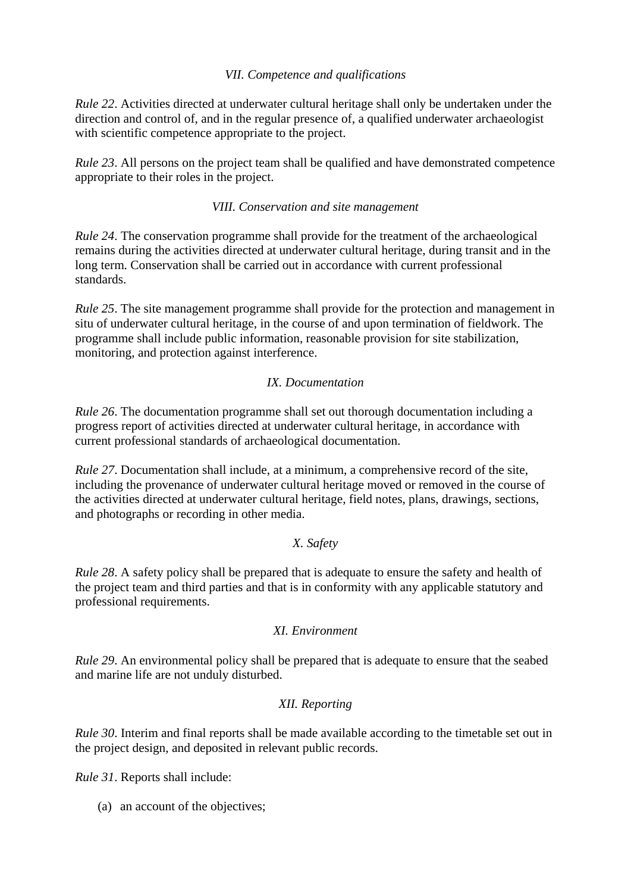## *VII. Competence and qualifications*

*Rule 22*. Activities directed at underwater cultural heritage shall only be undertaken under the direction and control of, and in the regular presence of, a qualified underwater archaeologist with scientific competence appropriate to the project.

*Rule 23*. All persons on the project team shall be qualified and have demonstrated competence appropriate to their roles in the project.

### *VIII. Conservation and site management*

*Rule 24*. The conservation programme shall provide for the treatment of the archaeological remains during the activities directed at underwater cultural heritage, during transit and in the long term. Conservation shall be carried out in accordance with current professional standards.

*Rule 25*. The site management programme shall provide for the protection and management in situ of underwater cultural heritage, in the course of and upon termination of fieldwork. The programme shall include public information, reasonable provision for site stabilization, monitoring, and protection against interference.

### *IX. Documentation*

*Rule 26*. The documentation programme shall set out thorough documentation including a progress report of activities directed at underwater cultural heritage, in accordance with current professional standards of archaeological documentation.

*Rule 27*. Documentation shall include, at a minimum, a comprehensive record of the site, including the provenance of underwater cultural heritage moved or removed in the course of the activities directed at underwater cultural heritage, field notes, plans, drawings, sections, and photographs or recording in other media.

### *X. Safety*

*Rule 28*. A safety policy shall be prepared that is adequate to ensure the safety and health of the project team and third parties and that is in conformity with any applicable statutory and professional requirements.

#### *XI. Environment*

*Rule 29*. An environmental policy shall be prepared that is adequate to ensure that the seabed and marine life are not unduly disturbed.

#### *XII. Reporting*

*Rule 30*. Interim and final reports shall be made available according to the timetable set out in the project design, and deposited in relevant public records.

*Rule 31*. Reports shall include:

(a) an account of the objectives;